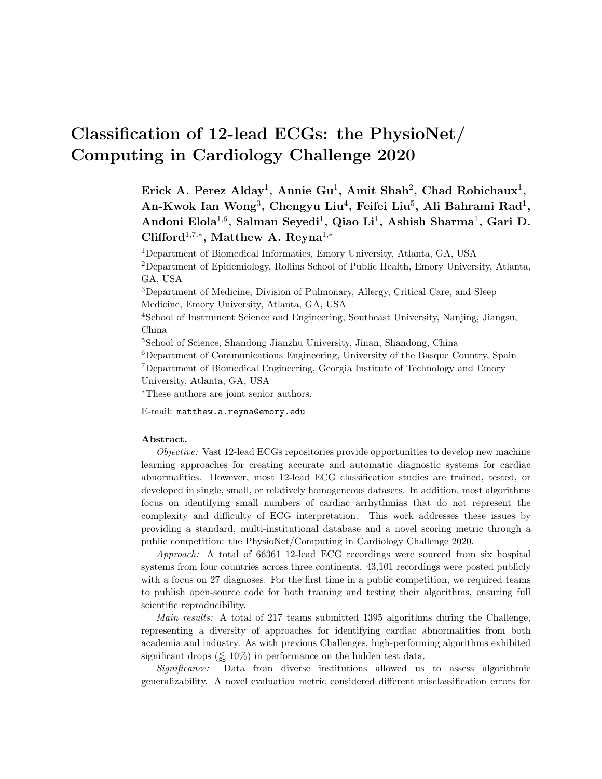# Classification of 12-lead ECGs: the PhysioNet/ Computing in Cardiology Challenge 2020

Erick A. Perez Alday<sup>1</sup>, Annie Gu<sup>1</sup>, Amit Shah<sup>2</sup>, Chad Robichaux<sup>1</sup>, An-Kwok Ian Wong<sup>3</sup>, Chengyu Liu<sup>4</sup>, Feifei Liu<sup>5</sup>, Ali Bahrami Rad<sup>1</sup>, Andoni Elola<sup>1,6</sup>, Salman Seyedi<sup>1</sup>, Qiao Li<sup>1</sup>, Ashish Sharma<sup>1</sup>, Gari D. Clifford<sup>1,7,\*</sup>, Matthew A. Reyna<sup>1,\*</sup>

Department of Biomedical Informatics, Emory University, Atlanta, GA, USA Department of Epidemiology, Rollins School of Public Health, Emory University, Atlanta, GA, USA Department of Medicine, Division of Pulmonary, Allergy, Critical Care, and Sleep

Medicine, Emory University, Atlanta, GA, USA

<sup>4</sup>School of Instrument Science and Engineering, Southeast University, Nanjing, Jiangsu, China

<sup>5</sup>School of Science, Shandong Jianzhu University, Jinan, Shandong, China

<sup>6</sup>Department of Communications Engineering, University of the Basque Country, Spain <sup>7</sup>Department of Biomedical Engineering, Georgia Institute of Technology and Emory University, Atlanta, GA, USA

<sup>∗</sup>These authors are joint senior authors.

E-mail: matthew.a.reyna@emory.edu

#### Abstract.

Objective: Vast 12-lead ECGs repositories provide opportunities to develop new machine learning approaches for creating accurate and automatic diagnostic systems for cardiac abnormalities. However, most 12-lead ECG classification studies are trained, tested, or developed in single, small, or relatively homogeneous datasets. In addition, most algorithms focus on identifying small numbers of cardiac arrhythmias that do not represent the complexity and difficulty of ECG interpretation. This work addresses these issues by providing a standard, multi-institutional database and a novel scoring metric through a public competition: the PhysioNet/Computing in Cardiology Challenge 2020.

Approach: A total of 66361 12-lead ECG recordings were sourced from six hospital systems from four countries across three continents. 43,101 recordings were posted publicly with a focus on 27 diagnoses. For the first time in a public competition, we required teams to publish open-source code for both training and testing their algorithms, ensuring full scientific reproducibility.

Main results: A total of 217 teams submitted 1395 algorithms during the Challenge, representing a diversity of approaches for identifying cardiac abnormalities from both academia and industry. As with previous Challenges, high-performing algorithms exhibited significant drops  $(\leq 10\%)$  in performance on the hidden test data.

Significance: Data from diverse institutions allowed us to assess algorithmic generalizability. A novel evaluation metric considered different misclassification errors for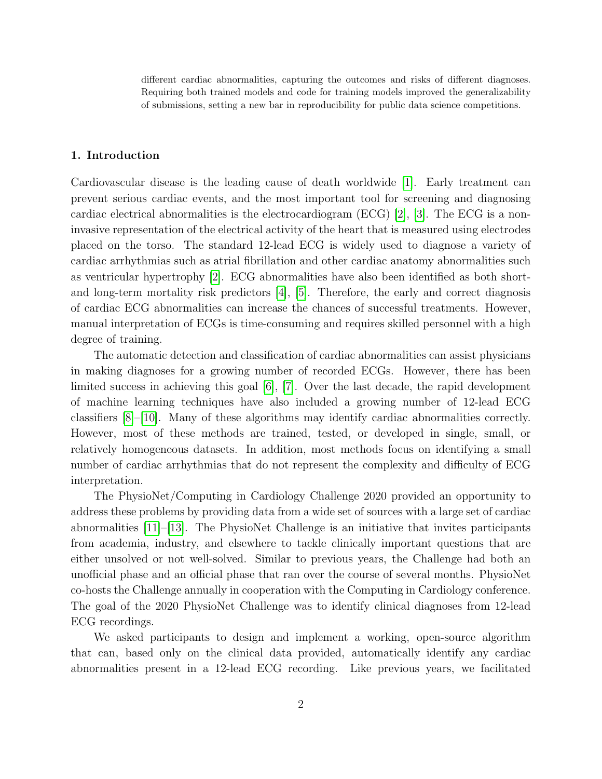different cardiac abnormalities, capturing the outcomes and risks of different diagnoses. Requiring both trained models and code for training models improved the generalizability of submissions, setting a new bar in reproducibility for public data science competitions.

# 1. Introduction

Cardiovascular disease is the leading cause of death worldwide [\[1\]](#page-14-0). Early treatment can prevent serious cardiac events, and the most important tool for screening and diagnosing cardiac electrical abnormalities is the electrocardiogram (ECG) [\[2\]](#page-14-1), [\[3\]](#page-15-0). The ECG is a noninvasive representation of the electrical activity of the heart that is measured using electrodes placed on the torso. The standard 12-lead ECG is widely used to diagnose a variety of cardiac arrhythmias such as atrial fibrillation and other cardiac anatomy abnormalities such as ventricular hypertrophy [\[2\]](#page-14-1). ECG abnormalities have also been identified as both shortand long-term mortality risk predictors [\[4\]](#page-15-1), [\[5\]](#page-15-2). Therefore, the early and correct diagnosis of cardiac ECG abnormalities can increase the chances of successful treatments. However, manual interpretation of ECGs is time-consuming and requires skilled personnel with a high degree of training.

The automatic detection and classification of cardiac abnormalities can assist physicians in making diagnoses for a growing number of recorded ECGs. However, there has been limited success in achieving this goal [\[6\]](#page-15-3), [\[7\]](#page-15-4). Over the last decade, the rapid development of machine learning techniques have also included a growing number of 12-lead ECG classifiers [\[8\]](#page-15-5)–[\[10\]](#page-15-6). Many of these algorithms may identify cardiac abnormalities correctly. However, most of these methods are trained, tested, or developed in single, small, or relatively homogeneous datasets. In addition, most methods focus on identifying a small number of cardiac arrhythmias that do not represent the complexity and difficulty of ECG interpretation.

The PhysioNet/Computing in Cardiology Challenge 2020 provided an opportunity to address these problems by providing data from a wide set of sources with a large set of cardiac abnormalities [\[11\]](#page-15-7)–[\[13\]](#page-15-8). The PhysioNet Challenge is an initiative that invites participants from academia, industry, and elsewhere to tackle clinically important questions that are either unsolved or not well-solved. Similar to previous years, the Challenge had both an unofficial phase and an official phase that ran over the course of several months. PhysioNet co-hosts the Challenge annually in cooperation with the Computing in Cardiology conference. The goal of the 2020 PhysioNet Challenge was to identify clinical diagnoses from 12-lead ECG recordings.

We asked participants to design and implement a working, open-source algorithm that can, based only on the clinical data provided, automatically identify any cardiac abnormalities present in a 12-lead ECG recording. Like previous years, we facilitated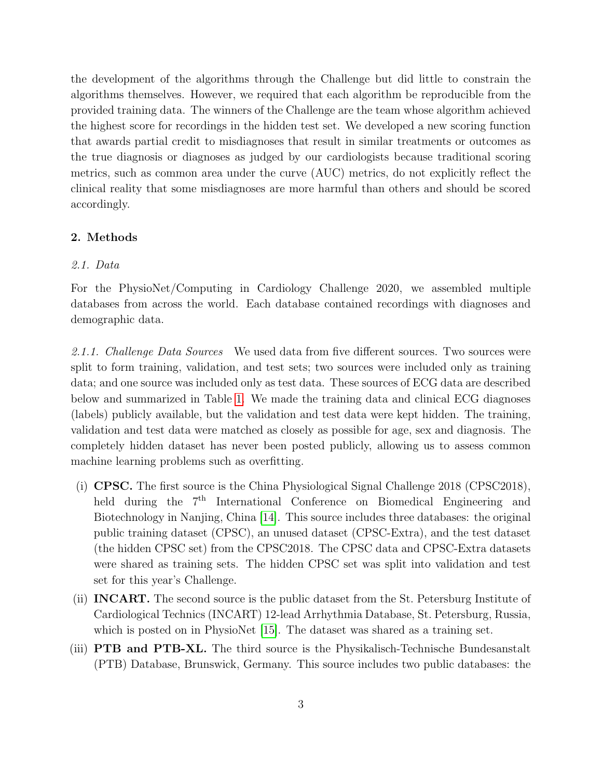the development of the algorithms through the Challenge but did little to constrain the algorithms themselves. However, we required that each algorithm be reproducible from the provided training data. The winners of the Challenge are the team whose algorithm achieved the highest score for recordings in the hidden test set. We developed a new scoring function that awards partial credit to misdiagnoses that result in similar treatments or outcomes as the true diagnosis or diagnoses as judged by our cardiologists because traditional scoring metrics, such as common area under the curve (AUC) metrics, do not explicitly reflect the clinical reality that some misdiagnoses are more harmful than others and should be scored accordingly.

# 2. Methods

## 2.1. Data

For the PhysioNet/Computing in Cardiology Challenge 2020, we assembled multiple databases from across the world. Each database contained recordings with diagnoses and demographic data.

2.1.1. Challenge Data Sources We used data from five different sources. Two sources were split to form training, validation, and test sets; two sources were included only as training data; and one source was included only as test data. These sources of ECG data are described below and summarized in Table [1.](#page-3-0) We made the training data and clinical ECG diagnoses (labels) publicly available, but the validation and test data were kept hidden. The training, validation and test data were matched as closely as possible for age, sex and diagnosis. The completely hidden dataset has never been posted publicly, allowing us to assess common machine learning problems such as overfitting.

- (i) CPSC. The first source is the China Physiological Signal Challenge 2018 (CPSC2018), held during the 7<sup>th</sup> International Conference on Biomedical Engineering and Biotechnology in Nanjing, China [\[14\]](#page-15-9). This source includes three databases: the original public training dataset (CPSC), an unused dataset (CPSC-Extra), and the test dataset (the hidden CPSC set) from the CPSC2018. The CPSC data and CPSC-Extra datasets were shared as training sets. The hidden CPSC set was split into validation and test set for this year's Challenge.
- (ii) INCART. The second source is the public dataset from the St. Petersburg Institute of Cardiological Technics (INCART) 12-lead Arrhythmia Database, St. Petersburg, Russia, which is posted on in PhysioNet [\[15\]](#page-16-0). The dataset was shared as a training set.
- (iii) PTB and PTB-XL. The third source is the Physikalisch-Technische Bundesanstalt (PTB) Database, Brunswick, Germany. This source includes two public databases: the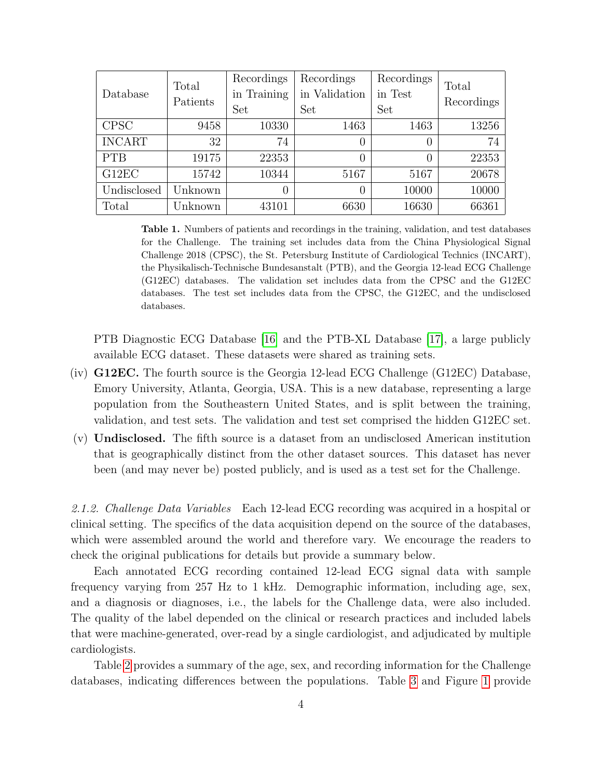| Database      | Total<br>Patients | Recordings<br>in Training<br>Set | Recordings<br>in Validation<br>Set | Recordings<br>in Test<br>Set | Total<br>Recordings |
|---------------|-------------------|----------------------------------|------------------------------------|------------------------------|---------------------|
| <b>CPSC</b>   | 9458              | 10330                            | 1463                               | 1463                         | 13256               |
| <b>INCART</b> | 32                | 74                               | $\theta$                           | $\left( \right)$             | 74                  |
| <b>PTB</b>    | 19175             | 22353                            | $\theta$                           | $\Omega$                     | 22353               |
| G12EC         | 15742             | 10344                            | 5167                               | 5167                         | 20678               |
| Undisclosed   | Unknown           | $\overline{0}$                   | 0                                  | 10000                        | 10000               |
| Total         | Jnknown           | 43101                            | 6630                               | 16630                        | 66361               |

<span id="page-3-0"></span>Table 1. Numbers of patients and recordings in the training, validation, and test databases for the Challenge. The training set includes data from the China Physiological Signal Challenge 2018 (CPSC), the St. Petersburg Institute of Cardiological Technics (INCART), the Physikalisch-Technische Bundesanstalt (PTB), and the Georgia 12-lead ECG Challenge (G12EC) databases. The validation set includes data from the CPSC and the G12EC databases. The test set includes data from the CPSC, the G12EC, and the undisclosed databases.

PTB Diagnostic ECG Database [\[16\]](#page-16-1) and the PTB-XL Database [\[17\]](#page-16-2), a large publicly available ECG dataset. These datasets were shared as training sets.

- (iv) G12EC. The fourth source is the Georgia 12-lead ECG Challenge (G12EC) Database, Emory University, Atlanta, Georgia, USA. This is a new database, representing a large population from the Southeastern United States, and is split between the training, validation, and test sets. The validation and test set comprised the hidden G12EC set.
- (v) Undisclosed. The fifth source is a dataset from an undisclosed American institution that is geographically distinct from the other dataset sources. This dataset has never been (and may never be) posted publicly, and is used as a test set for the Challenge.

2.1.2. Challenge Data Variables Each 12-lead ECG recording was acquired in a hospital or clinical setting. The specifics of the data acquisition depend on the source of the databases, which were assembled around the world and therefore vary. We encourage the readers to check the original publications for details but provide a summary below.

Each annotated ECG recording contained 12-lead ECG signal data with sample frequency varying from 257 Hz to 1 kHz. Demographic information, including age, sex, and a diagnosis or diagnoses, i.e., the labels for the Challenge data, were also included. The quality of the label depended on the clinical or research practices and included labels that were machine-generated, over-read by a single cardiologist, and adjudicated by multiple cardiologists.

Table [2](#page-4-0) provides a summary of the age, sex, and recording information for the Challenge databases, indicating differences between the populations. Table [3](#page-6-0) and Figure [1](#page-5-0) provide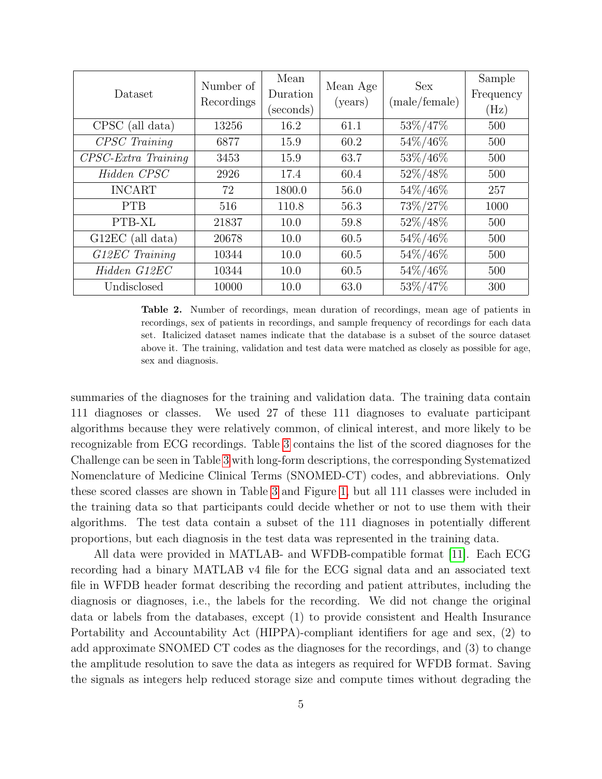| Dataset                       | Number of<br>Recordings | Mean<br>Duration<br>(seconds) | Mean Age<br>(years) | <b>Sex</b><br>(male/female) | Sample<br>Frequency<br>(Hz) |
|-------------------------------|-------------------------|-------------------------------|---------------------|-----------------------------|-----------------------------|
| CPSC (all data)               | 13256                   | 16.2                          | 61.1                | 53%/47%                     | 500                         |
| CPSC Training                 | 6877                    | 15.9                          | 60.2                | 54%/46%                     | 500                         |
| $CPSC\text{-}Extra\ Training$ | 3453                    | 15.9                          | 63.7                | 53%/46%                     | 500                         |
| Hidden CPSC                   | 2926                    | 17.4                          | 60.4                | 52%/48%                     | 500                         |
| <b>INCART</b>                 | 72                      | 1800.0                        | 56.0                | 54%/46%                     | 257                         |
| <b>PTB</b>                    | 516                     | 110.8                         | 56.3                | 73%/27%                     | 1000                        |
| PTB-XL                        | 21837                   | 10.0                          | 59.8                | 52%/48%                     | 500                         |
| $G12EC$ (all data)            | 20678                   | 10.0                          | 60.5                | 54%/46%                     | 500                         |
| G12EC Training                | 10344                   | 10.0                          | 60.5                | 54%/46%                     | 500                         |
| Hidden G12EC                  | 10344                   | 10.0                          | 60.5                | 54%/46%                     | 500                         |
| Undisclosed                   | 10000                   | 10.0                          | 63.0                | 53%/47%                     | 300                         |

<span id="page-4-0"></span>Table 2. Number of recordings, mean duration of recordings, mean age of patients in recordings, sex of patients in recordings, and sample frequency of recordings for each data set. Italicized dataset names indicate that the database is a subset of the source dataset above it. The training, validation and test data were matched as closely as possible for age, sex and diagnosis.

summaries of the diagnoses for the training and validation data. The training data contain 111 diagnoses or classes. We used 27 of these 111 diagnoses to evaluate participant algorithms because they were relatively common, of clinical interest, and more likely to be recognizable from ECG recordings. Table [3](#page-6-0) contains the list of the scored diagnoses for the Challenge can be seen in Table [3](#page-6-0) with long-form descriptions, the corresponding Systematized Nomenclature of Medicine Clinical Terms (SNOMED-CT) codes, and abbreviations. Only these scored classes are shown in Table [3](#page-6-0) and Figure [1,](#page-5-0) but all 111 classes were included in the training data so that participants could decide whether or not to use them with their algorithms. The test data contain a subset of the 111 diagnoses in potentially different proportions, but each diagnosis in the test data was represented in the training data.

All data were provided in MATLAB- and WFDB-compatible format [\[11\]](#page-15-7). Each ECG recording had a binary MATLAB v4 file for the ECG signal data and an associated text file in WFDB header format describing the recording and patient attributes, including the diagnosis or diagnoses, i.e., the labels for the recording. We did not change the original data or labels from the databases, except (1) to provide consistent and Health Insurance Portability and Accountability Act (HIPPA)-compliant identifiers for age and sex, (2) to add approximate SNOMED CT codes as the diagnoses for the recordings, and (3) to change the amplitude resolution to save the data as integers as required for WFDB format. Saving the signals as integers help reduced storage size and compute times without degrading the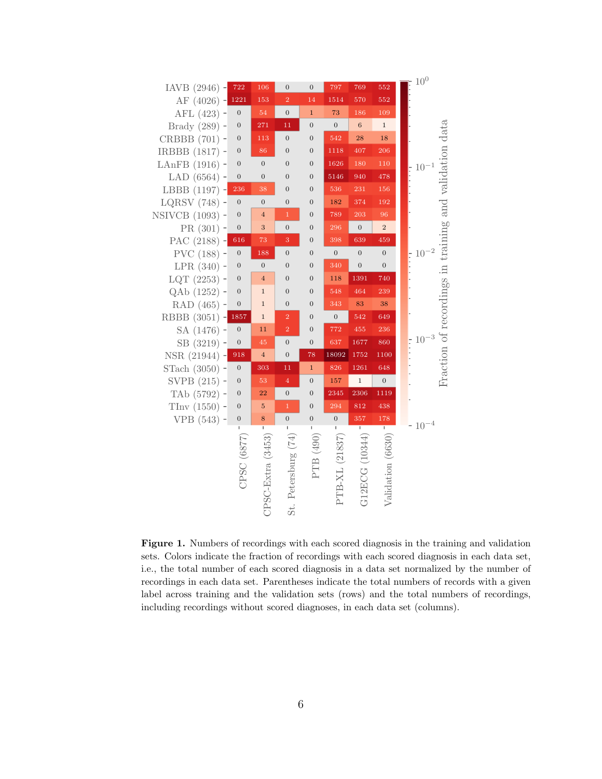

<span id="page-5-0"></span>Figure 1. Numbers of recordings with each scored diagnosis in the training and validation sets. Colors indicate the fraction of recordings with each scored diagnosis in each data set, i.e., the total number of each scored diagnosis in a data set normalized by the number of recordings in each data set. Parentheses indicate the total numbers of records with a given label across training and the validation sets (rows) and the total numbers of recordings, including recordings without scored diagnoses, in each data set (columns).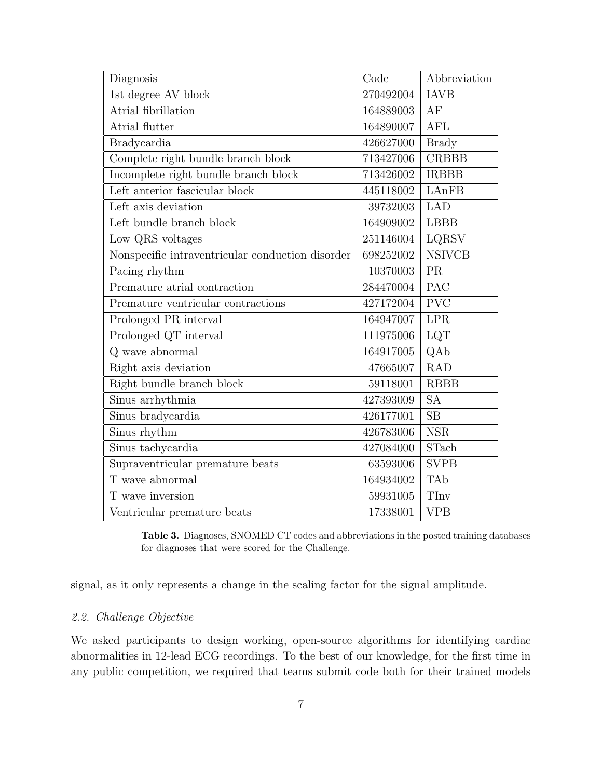| Diagnosis                                        | Code      | Abbreviation  |  |
|--------------------------------------------------|-----------|---------------|--|
| $1st$ degree $\operatorname{AV}$ block           | 270492004 | <b>IAVB</b>   |  |
| Atrial fibrillation                              | 164889003 | AF            |  |
| Atrial flutter                                   | 164890007 | <b>AFL</b>    |  |
| <b>Bradycardia</b>                               | 426627000 | <b>Brady</b>  |  |
| Complete right bundle branch block               | 713427006 | <b>CRBBB</b>  |  |
| Incomplete right bundle branch block             | 713426002 | <b>IRBBB</b>  |  |
| Left anterior fascicular block                   | 445118002 | LAnFB         |  |
| Left axis deviation                              | 39732003  | <b>LAD</b>    |  |
| Left bundle branch block                         | 164909002 | <b>LBBB</b>   |  |
| Low QRS voltages                                 | 251146004 | <b>LQRSV</b>  |  |
| Nonspecific intraventricular conduction disorder | 698252002 | <b>NSIVCB</b> |  |
| Pacing rhythm                                    | 10370003  | <b>PR</b>     |  |
| Premature atrial contraction                     | 284470004 | PAC           |  |
| Premature ventricular contractions               | 427172004 | <b>PVC</b>    |  |
| Prolonged PR interval                            | 164947007 | <b>LPR</b>    |  |
| Prolonged QT interval $\,$                       | 111975006 | LQT           |  |
| Q wave abnormal                                  | 164917005 | QAb           |  |
| Right axis deviation                             | 47665007  | <b>RAD</b>    |  |
| Right bundle branch block                        | 59118001  | <b>RBBB</b>   |  |
| Sinus arrhythmia                                 | 427393009 | <b>SA</b>     |  |
| Sinus bradycardia                                | 426177001 | SB            |  |
| Sinus rhythm                                     | 426783006 | <b>NSR</b>    |  |
| Sinus tachycardia                                | 427084000 | <b>STach</b>  |  |
| Supraventricular premature beats                 | 63593006  | <b>SVPB</b>   |  |
| T wave abnormal                                  | 164934002 | <b>TAb</b>    |  |
| T wave inversion                                 | 59931005  | TIny          |  |
| Ventricular premature beats                      | 17338001  | <b>VPB</b>    |  |

<span id="page-6-0"></span>Table 3. Diagnoses, SNOMED CT codes and abbreviations in the posted training databases for diagnoses that were scored for the Challenge.

signal, as it only represents a change in the scaling factor for the signal amplitude.

# 2.2. Challenge Objective

We asked participants to design working, open-source algorithms for identifying cardiac abnormalities in 12-lead ECG recordings. To the best of our knowledge, for the first time in any public competition, we required that teams submit code both for their trained models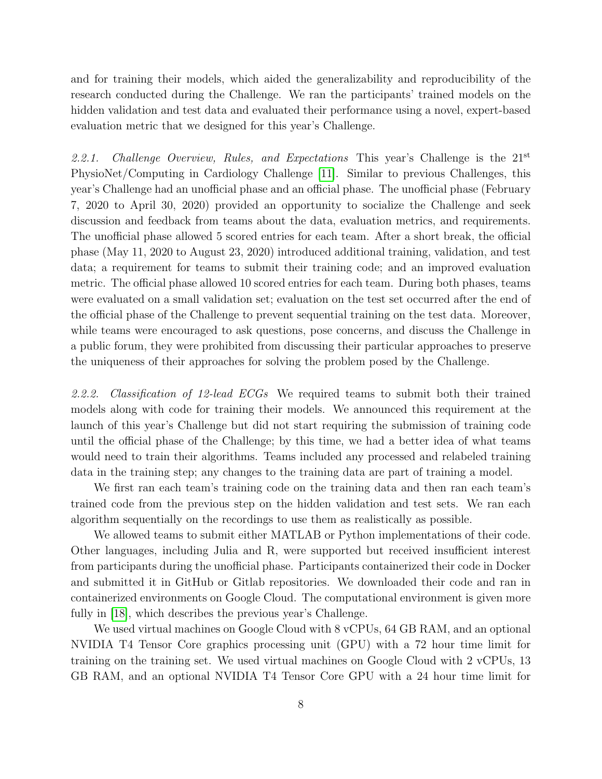and for training their models, which aided the generalizability and reproducibility of the research conducted during the Challenge. We ran the participants' trained models on the hidden validation and test data and evaluated their performance using a novel, expert-based evaluation metric that we designed for this year's Challenge.

2.2.1. Challenge Overview, Rules, and Expectations This year's Challenge is the  $21^{st}$ PhysioNet/Computing in Cardiology Challenge [\[11\]](#page-15-7). Similar to previous Challenges, this year's Challenge had an unofficial phase and an official phase. The unofficial phase (February 7, 2020 to April 30, 2020) provided an opportunity to socialize the Challenge and seek discussion and feedback from teams about the data, evaluation metrics, and requirements. The unofficial phase allowed 5 scored entries for each team. After a short break, the official phase (May 11, 2020 to August 23, 2020) introduced additional training, validation, and test data; a requirement for teams to submit their training code; and an improved evaluation metric. The official phase allowed 10 scored entries for each team. During both phases, teams were evaluated on a small validation set; evaluation on the test set occurred after the end of the official phase of the Challenge to prevent sequential training on the test data. Moreover, while teams were encouraged to ask questions, pose concerns, and discuss the Challenge in a public forum, they were prohibited from discussing their particular approaches to preserve the uniqueness of their approaches for solving the problem posed by the Challenge.

2.2.2. Classification of 12-lead ECGs We required teams to submit both their trained models along with code for training their models. We announced this requirement at the launch of this year's Challenge but did not start requiring the submission of training code until the official phase of the Challenge; by this time, we had a better idea of what teams would need to train their algorithms. Teams included any processed and relabeled training data in the training step; any changes to the training data are part of training a model.

We first ran each team's training code on the training data and then ran each team's trained code from the previous step on the hidden validation and test sets. We ran each algorithm sequentially on the recordings to use them as realistically as possible.

We allowed teams to submit either MATLAB or Python implementations of their code. Other languages, including Julia and R, were supported but received insufficient interest from participants during the unofficial phase. Participants containerized their code in Docker and submitted it in GitHub or Gitlab repositories. We downloaded their code and ran in containerized environments on Google Cloud. The computational environment is given more fully in [\[18\]](#page-16-3), which describes the previous year's Challenge.

We used virtual machines on Google Cloud with 8 vCPUs, 64 GB RAM, and an optional NVIDIA T4 Tensor Core graphics processing unit (GPU) with a 72 hour time limit for training on the training set. We used virtual machines on Google Cloud with 2 vCPUs, 13 GB RAM, and an optional NVIDIA T4 Tensor Core GPU with a 24 hour time limit for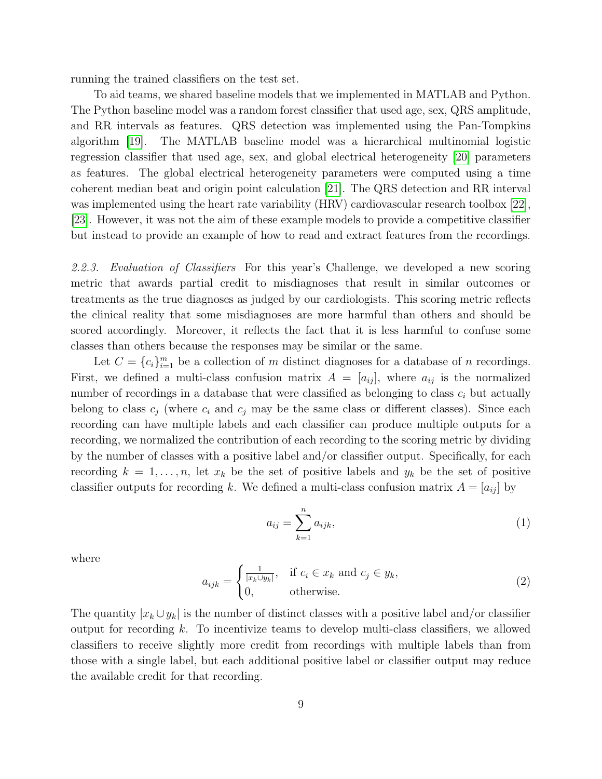running the trained classifiers on the test set.

To aid teams, we shared baseline models that we implemented in MATLAB and Python. The Python baseline model was a random forest classifier that used age, sex, QRS amplitude, and RR intervals as features. QRS detection was implemented using the Pan-Tompkins algorithm [\[19\]](#page-16-4). The MATLAB baseline model was a hierarchical multinomial logistic regression classifier that used age, sex, and global electrical heterogeneity [\[20\]](#page-16-5) parameters as features. The global electrical heterogeneity parameters were computed using a time coherent median beat and origin point calculation [\[21\]](#page-16-6). The QRS detection and RR interval was implemented using the heart rate variability (HRV) cardiovascular research toolbox [\[22\]](#page-16-7), [\[23\]](#page-16-8). However, it was not the aim of these example models to provide a competitive classifier but instead to provide an example of how to read and extract features from the recordings.

2.2.3. Evaluation of Classifiers For this year's Challenge, we developed a new scoring metric that awards partial credit to misdiagnoses that result in similar outcomes or treatments as the true diagnoses as judged by our cardiologists. This scoring metric reflects the clinical reality that some misdiagnoses are more harmful than others and should be scored accordingly. Moreover, it reflects the fact that it is less harmful to confuse some classes than others because the responses may be similar or the same.

Let  $C = \{c_i\}_{i=1}^m$  be a collection of m distinct diagnoses for a database of n recordings. First, we defined a multi-class confusion matrix  $A = [a_{ij}]$ , where  $a_{ij}$  is the normalized number of recordings in a database that were classified as belonging to class  $c_i$  but actually belong to class  $c_j$  (where  $c_i$  and  $c_j$  may be the same class or different classes). Since each recording can have multiple labels and each classifier can produce multiple outputs for a recording, we normalized the contribution of each recording to the scoring metric by dividing by the number of classes with a positive label and/or classifier output. Specifically, for each recording  $k = 1, \ldots, n$ , let  $x_k$  be the set of positive labels and  $y_k$  be the set of positive classifier outputs for recording k. We defined a multi-class confusion matrix  $A = [a_{ij}]$  by

$$
a_{ij} = \sum_{k=1}^{n} a_{ijk},
$$
 (1)

where

$$
a_{ijk} = \begin{cases} \frac{1}{|x_k \cup y_k|}, & \text{if } c_i \in x_k \text{ and } c_j \in y_k, \\ 0, & \text{otherwise.} \end{cases}
$$
 (2)

The quantity  $|x_k \cup y_k|$  is the number of distinct classes with a positive label and/or classifier output for recording k. To incentivize teams to develop multi-class classifiers, we allowed classifiers to receive slightly more credit from recordings with multiple labels than from those with a single label, but each additional positive label or classifier output may reduce the available credit for that recording.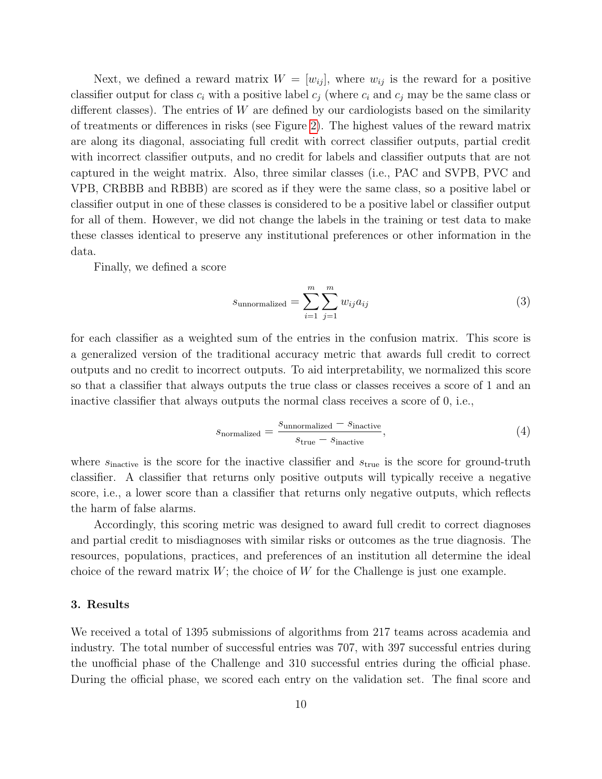Next, we defined a reward matrix  $W = [w_{ij}]$ , where  $w_{ij}$  is the reward for a positive classifier output for class  $c_i$  with a positive label  $c_j$  (where  $c_i$  and  $c_j$  may be the same class or different classes). The entries of  $W$  are defined by our cardiologists based on the similarity of treatments or differences in risks (see Figure [2\)](#page-10-0). The highest values of the reward matrix are along its diagonal, associating full credit with correct classifier outputs, partial credit with incorrect classifier outputs, and no credit for labels and classifier outputs that are not captured in the weight matrix. Also, three similar classes (i.e., PAC and SVPB, PVC and VPB, CRBBB and RBBB) are scored as if they were the same class, so a positive label or classifier output in one of these classes is considered to be a positive label or classifier output for all of them. However, we did not change the labels in the training or test data to make these classes identical to preserve any institutional preferences or other information in the data.

Finally, we defined a score

$$
s_{\text{unnormalized}} = \sum_{i=1}^{m} \sum_{j=1}^{m} w_{ij} a_{ij}
$$
 (3)

for each classifier as a weighted sum of the entries in the confusion matrix. This score is a generalized version of the traditional accuracy metric that awards full credit to correct outputs and no credit to incorrect outputs. To aid interpretability, we normalized this score so that a classifier that always outputs the true class or classes receives a score of 1 and an inactive classifier that always outputs the normal class receives a score of 0, i.e.,

$$
s_{\text{normalized}} = \frac{s_{\text{unnormalized}} - s_{\text{inactive}}}{s_{\text{true}} - s_{\text{inactive}}},\tag{4}
$$

where  $s_{\text{inactive}}$  is the score for the inactive classifier and  $s_{\text{true}}$  is the score for ground-truth classifier. A classifier that returns only positive outputs will typically receive a negative score, i.e., a lower score than a classifier that returns only negative outputs, which reflects the harm of false alarms.

Accordingly, this scoring metric was designed to award full credit to correct diagnoses and partial credit to misdiagnoses with similar risks or outcomes as the true diagnosis. The resources, populations, practices, and preferences of an institution all determine the ideal choice of the reward matrix  $W$ ; the choice of  $W$  for the Challenge is just one example.

#### 3. Results

We received a total of 1395 submissions of algorithms from 217 teams across academia and industry. The total number of successful entries was 707, with 397 successful entries during the unofficial phase of the Challenge and 310 successful entries during the official phase. During the official phase, we scored each entry on the validation set. The final score and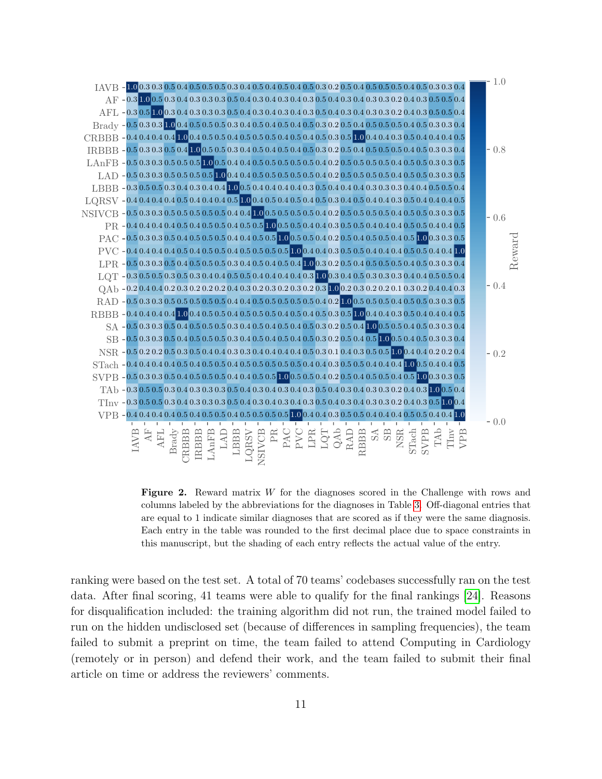

<span id="page-10-0"></span>Figure 2. Reward matrix W for the diagnoses scored in the Challenge with rows and columns labeled by the abbreviations for the diagnoses in Table [3.](#page-6-0) Off-diagonal entries that are equal to 1 indicate similar diagnoses that are scored as if they were the same diagnosis. Each entry in the table was rounded to the first decimal place due to space constraints in this manuscript, but the shading of each entry reflects the actual value of the entry.

ranking were based on the test set. A total of 70 teams' codebases successfully ran on the test data. After final scoring, 41 teams were able to qualify for the final rankings [\[24\]](#page-16-9). Reasons for disqualification included: the training algorithm did not run, the trained model failed to run on the hidden undisclosed set (because of differences in sampling frequencies), the team failed to submit a preprint on time, the team failed to attend Computing in Cardiology (remotely or in person) and defend their work, and the team failed to submit their final article on time or address the reviewers' comments.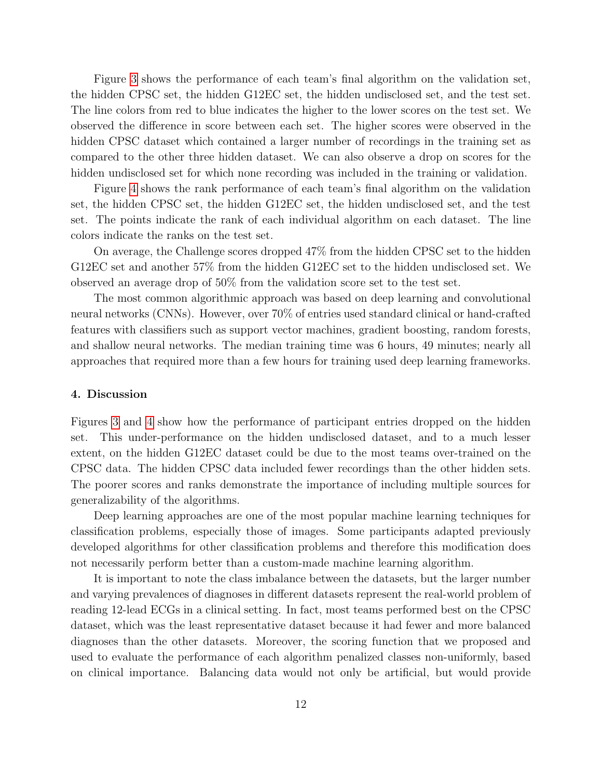Figure [3](#page-12-0) shows the performance of each team's final algorithm on the validation set, the hidden CPSC set, the hidden G12EC set, the hidden undisclosed set, and the test set. The line colors from red to blue indicates the higher to the lower scores on the test set. We observed the difference in score between each set. The higher scores were observed in the hidden CPSC dataset which contained a larger number of recordings in the training set as compared to the other three hidden dataset. We can also observe a drop on scores for the hidden undisclosed set for which none recording was included in the training or validation.

Figure [4](#page-13-0) shows the rank performance of each team's final algorithm on the validation set, the hidden CPSC set, the hidden G12EC set, the hidden undisclosed set, and the test set. The points indicate the rank of each individual algorithm on each dataset. The line colors indicate the ranks on the test set.

On average, the Challenge scores dropped 47% from the hidden CPSC set to the hidden G12EC set and another 57% from the hidden G12EC set to the hidden undisclosed set. We observed an average drop of 50% from the validation score set to the test set.

The most common algorithmic approach was based on deep learning and convolutional neural networks (CNNs). However, over 70% of entries used standard clinical or hand-crafted features with classifiers such as support vector machines, gradient boosting, random forests, and shallow neural networks. The median training time was 6 hours, 49 minutes; nearly all approaches that required more than a few hours for training used deep learning frameworks.

# 4. Discussion

Figures [3](#page-12-0) and [4](#page-13-0) show how the performance of participant entries dropped on the hidden set. This under-performance on the hidden undisclosed dataset, and to a much lesser extent, on the hidden G12EC dataset could be due to the most teams over-trained on the CPSC data. The hidden CPSC data included fewer recordings than the other hidden sets. The poorer scores and ranks demonstrate the importance of including multiple sources for generalizability of the algorithms.

Deep learning approaches are one of the most popular machine learning techniques for classification problems, especially those of images. Some participants adapted previously developed algorithms for other classification problems and therefore this modification does not necessarily perform better than a custom-made machine learning algorithm.

It is important to note the class imbalance between the datasets, but the larger number and varying prevalences of diagnoses in different datasets represent the real-world problem of reading 12-lead ECGs in a clinical setting. In fact, most teams performed best on the CPSC dataset, which was the least representative dataset because it had fewer and more balanced diagnoses than the other datasets. Moreover, the scoring function that we proposed and used to evaluate the performance of each algorithm penalized classes non-uniformly, based on clinical importance. Balancing data would not only be artificial, but would provide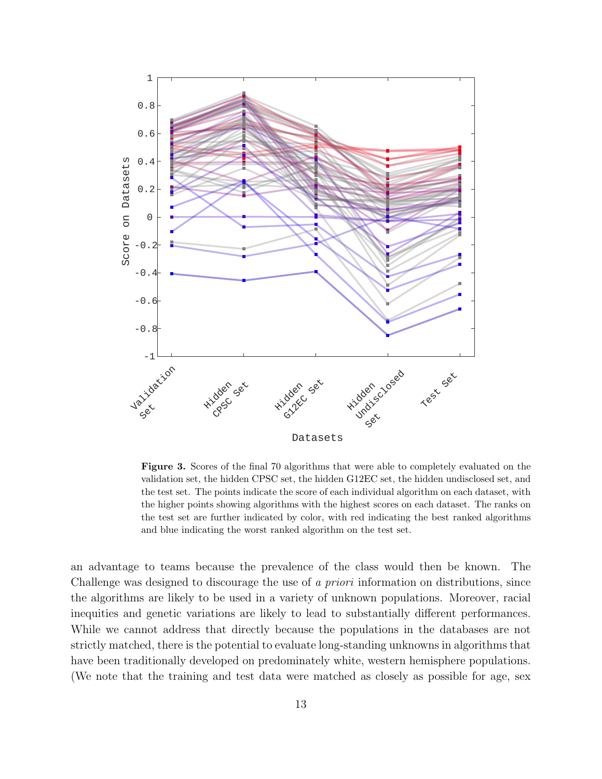

<span id="page-12-0"></span>Figure 3. Scores of the final 70 algorithms that were able to completely evaluated on the validation set, the hidden CPSC set, the hidden G12EC set, the hidden undisclosed set, and the test set. The points indicate the score of each individual algorithm on each dataset, with the higher points showing algorithms with the highest scores on each dataset. The ranks on the test set are further indicated by color, with red indicating the best ranked algorithms and blue indicating the worst ranked algorithm on the test set.

an advantage to teams because the prevalence of the class would then be known. The Challenge was designed to discourage the use of a priori information on distributions, since the algorithms are likely to be used in a variety of unknown populations. Moreover, racial inequities and genetic variations are likely to lead to substantially different performances. While we cannot address that directly because the populations in the databases are not strictly matched, there is the potential to evaluate long-standing unknowns in algorithms that have been traditionally developed on predominately white, western hemisphere populations. (We note that the training and test data were matched as closely as possible for age, sex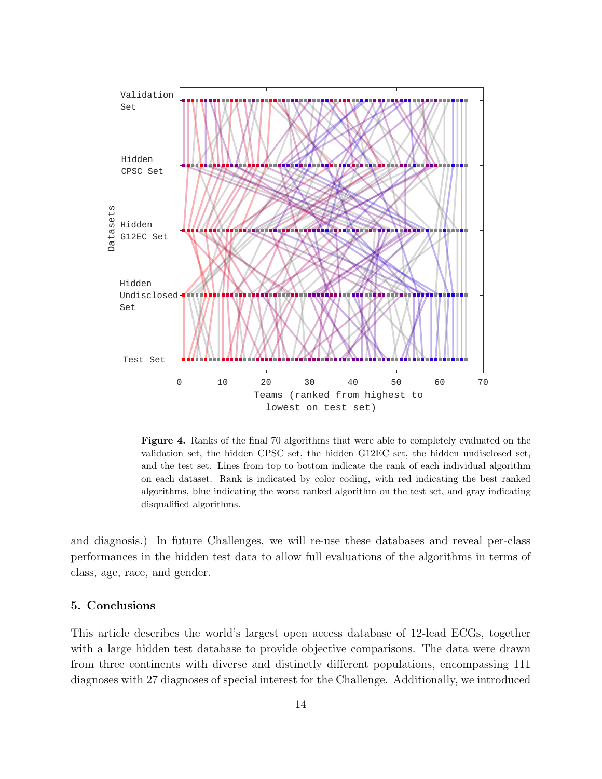

<span id="page-13-0"></span>Figure 4. Ranks of the final 70 algorithms that were able to completely evaluated on the validation set, the hidden CPSC set, the hidden G12EC set, the hidden undisclosed set, and the test set. Lines from top to bottom indicate the rank of each individual algorithm on each dataset. Rank is indicated by color coding, with red indicating the best ranked algorithms, blue indicating the worst ranked algorithm on the test set, and gray indicating disqualified algorithms.

and diagnosis.) In future Challenges, we will re-use these databases and reveal per-class performances in the hidden test data to allow full evaluations of the algorithms in terms of class, age, race, and gender.

# 5. Conclusions

This article describes the world's largest open access database of 12-lead ECGs, together with a large hidden test database to provide objective comparisons. The data were drawn from three continents with diverse and distinctly different populations, encompassing 111 diagnoses with 27 diagnoses of special interest for the Challenge. Additionally, we introduced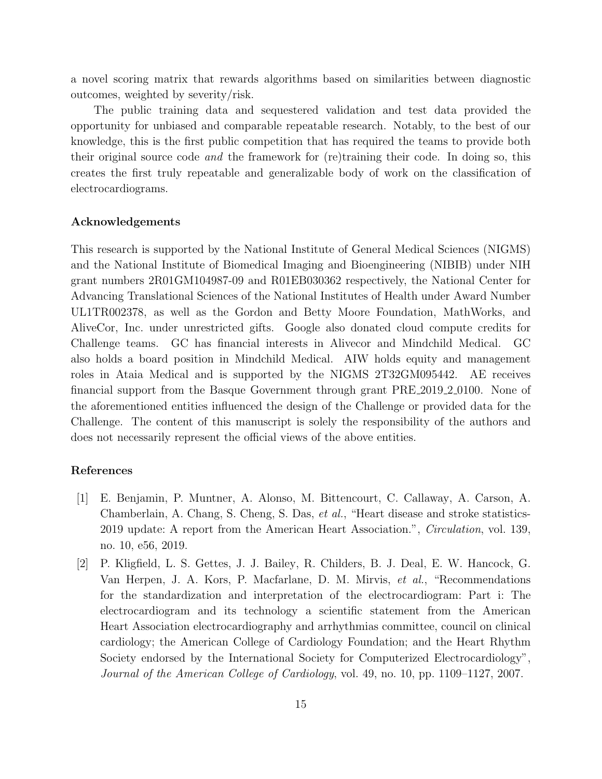a novel scoring matrix that rewards algorithms based on similarities between diagnostic outcomes, weighted by severity/risk.

The public training data and sequestered validation and test data provided the opportunity for unbiased and comparable repeatable research. Notably, to the best of our knowledge, this is the first public competition that has required the teams to provide both their original source code and the framework for (re)training their code. In doing so, this creates the first truly repeatable and generalizable body of work on the classification of electrocardiograms.

# Acknowledgements

This research is supported by the National Institute of General Medical Sciences (NIGMS) and the National Institute of Biomedical Imaging and Bioengineering (NIBIB) under NIH grant numbers 2R01GM104987-09 and R01EB030362 respectively, the National Center for Advancing Translational Sciences of the National Institutes of Health under Award Number UL1TR002378, as well as the Gordon and Betty Moore Foundation, MathWorks, and AliveCor, Inc. under unrestricted gifts. Google also donated cloud compute credits for Challenge teams. GC has financial interests in Alivecor and Mindchild Medical. GC also holds a board position in Mindchild Medical. AIW holds equity and management roles in Ataia Medical and is supported by the NIGMS 2T32GM095442. AE receives financial support from the Basque Government through grant PRE 2019 2 0100. None of the aforementioned entities influenced the design of the Challenge or provided data for the Challenge. The content of this manuscript is solely the responsibility of the authors and does not necessarily represent the official views of the above entities.

# References

- <span id="page-14-0"></span>[1] E. Benjamin, P. Muntner, A. Alonso, M. Bittencourt, C. Callaway, A. Carson, A. Chamberlain, A. Chang, S. Cheng, S. Das, et al., "Heart disease and stroke statistics-2019 update: A report from the American Heart Association.", Circulation, vol. 139, no. 10, e56, 2019.
- <span id="page-14-1"></span>[2] P. Kligfield, L. S. Gettes, J. J. Bailey, R. Childers, B. J. Deal, E. W. Hancock, G. Van Herpen, J. A. Kors, P. Macfarlane, D. M. Mirvis, et al., "Recommendations for the standardization and interpretation of the electrocardiogram: Part i: The electrocardiogram and its technology a scientific statement from the American Heart Association electrocardiography and arrhythmias committee, council on clinical cardiology; the American College of Cardiology Foundation; and the Heart Rhythm Society endorsed by the International Society for Computerized Electrocardiology", Journal of the American College of Cardiology, vol. 49, no. 10, pp. 1109–1127, 2007.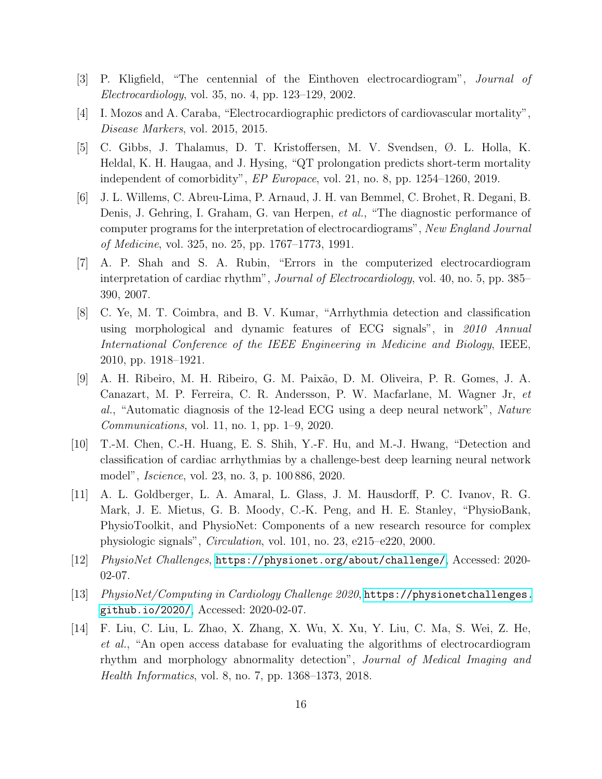- <span id="page-15-0"></span>[3] P. Kligfield, "The centennial of the Einthoven electrocardiogram", Journal of Electrocardiology, vol. 35, no. 4, pp. 123–129, 2002.
- <span id="page-15-1"></span>[4] I. Mozos and A. Caraba, "Electrocardiographic predictors of cardiovascular mortality", Disease Markers, vol. 2015, 2015.
- <span id="page-15-2"></span>[5] C. Gibbs, J. Thalamus, D. T. Kristoffersen, M. V. Svendsen, Ø. L. Holla, K. Heldal, K. H. Haugaa, and J. Hysing, "QT prolongation predicts short-term mortality independent of comorbidity", EP Europace, vol. 21, no. 8, pp. 1254–1260, 2019.
- <span id="page-15-3"></span>[6] J. L. Willems, C. Abreu-Lima, P. Arnaud, J. H. van Bemmel, C. Brohet, R. Degani, B. Denis, J. Gehring, I. Graham, G. van Herpen, et al., "The diagnostic performance of computer programs for the interpretation of electrocardiograms", New England Journal of Medicine, vol. 325, no. 25, pp. 1767–1773, 1991.
- <span id="page-15-4"></span>[7] A. P. Shah and S. A. Rubin, "Errors in the computerized electrocardiogram interpretation of cardiac rhythm", *Journal of Electrocardiology*, vol. 40, no. 5, pp. 385– 390, 2007.
- <span id="page-15-5"></span>[8] C. Ye, M. T. Coimbra, and B. V. Kumar, "Arrhythmia detection and classification using morphological and dynamic features of ECG signals", in 2010 Annual International Conference of the IEEE Engineering in Medicine and Biology, IEEE, 2010, pp. 1918–1921.
- [9] A. H. Ribeiro, M. H. Ribeiro, G. M. Paix˜ao, D. M. Oliveira, P. R. Gomes, J. A. Canazart, M. P. Ferreira, C. R. Andersson, P. W. Macfarlane, M. Wagner Jr, et al., "Automatic diagnosis of the 12-lead ECG using a deep neural network", Nature Communications, vol. 11, no. 1, pp. 1–9, 2020.
- <span id="page-15-6"></span>[10] T.-M. Chen, C.-H. Huang, E. S. Shih, Y.-F. Hu, and M.-J. Hwang, "Detection and classification of cardiac arrhythmias by a challenge-best deep learning neural network model", Iscience, vol. 23, no. 3, p. 100 886, 2020.
- <span id="page-15-7"></span>[11] A. L. Goldberger, L. A. Amaral, L. Glass, J. M. Hausdorff, P. C. Ivanov, R. G. Mark, J. E. Mietus, G. B. Moody, C.-K. Peng, and H. E. Stanley, "PhysioBank, PhysioToolkit, and PhysioNet: Components of a new research resource for complex physiologic signals", Circulation, vol. 101, no. 23, e215–e220, 2000.
- [12] PhysioNet Challenges, <https://physionet.org/about/challenge/>, Accessed: 2020- 02-07.
- <span id="page-15-8"></span>[13] PhysioNet/Computing in Cardiology Challenge 2020, [https://physionetchallenges.](https://physionetchallenges.github.io/2020/) [github.io/2020/](https://physionetchallenges.github.io/2020/), Accessed: 2020-02-07.
- <span id="page-15-9"></span>[14] F. Liu, C. Liu, L. Zhao, X. Zhang, X. Wu, X. Xu, Y. Liu, C. Ma, S. Wei, Z. He, et al., "An open access database for evaluating the algorithms of electrocardiogram rhythm and morphology abnormality detection", Journal of Medical Imaging and Health Informatics, vol. 8, no. 7, pp. 1368–1373, 2018.